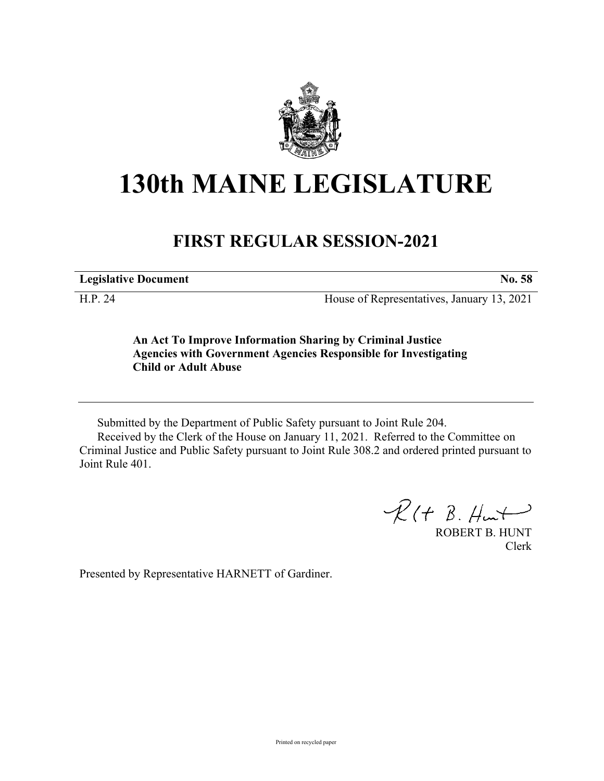

## **130th MAINE LEGISLATURE**

## **FIRST REGULAR SESSION-2021**

**Legislative Document No. 58**

H.P. 24 House of Representatives, January 13, 2021

**An Act To Improve Information Sharing by Criminal Justice Agencies with Government Agencies Responsible for Investigating Child or Adult Abuse**

Submitted by the Department of Public Safety pursuant to Joint Rule 204. Received by the Clerk of the House on January 11, 2021. Referred to the Committee on Criminal Justice and Public Safety pursuant to Joint Rule 308.2 and ordered printed pursuant to Joint Rule 401.

 $R$ (†  $B.$  Hunt

ROBERT B. HUNT Clerk

Presented by Representative HARNETT of Gardiner.